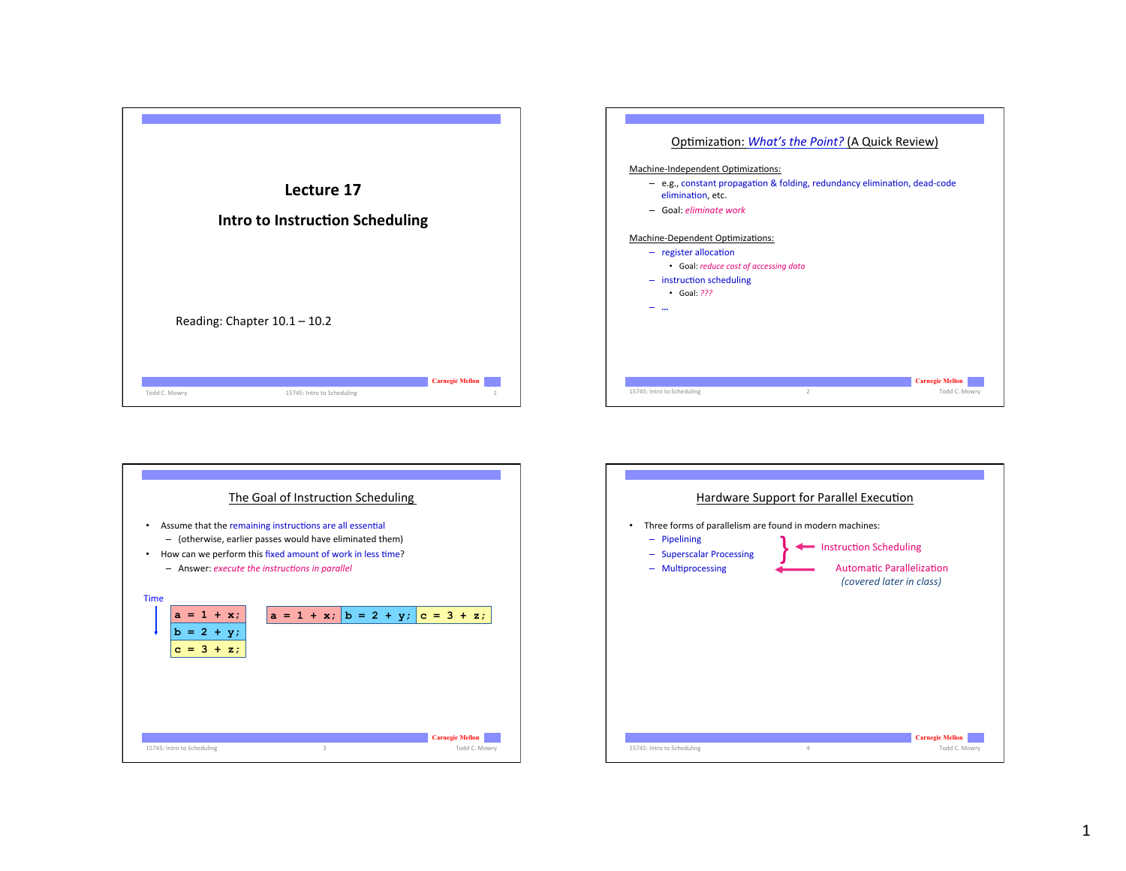





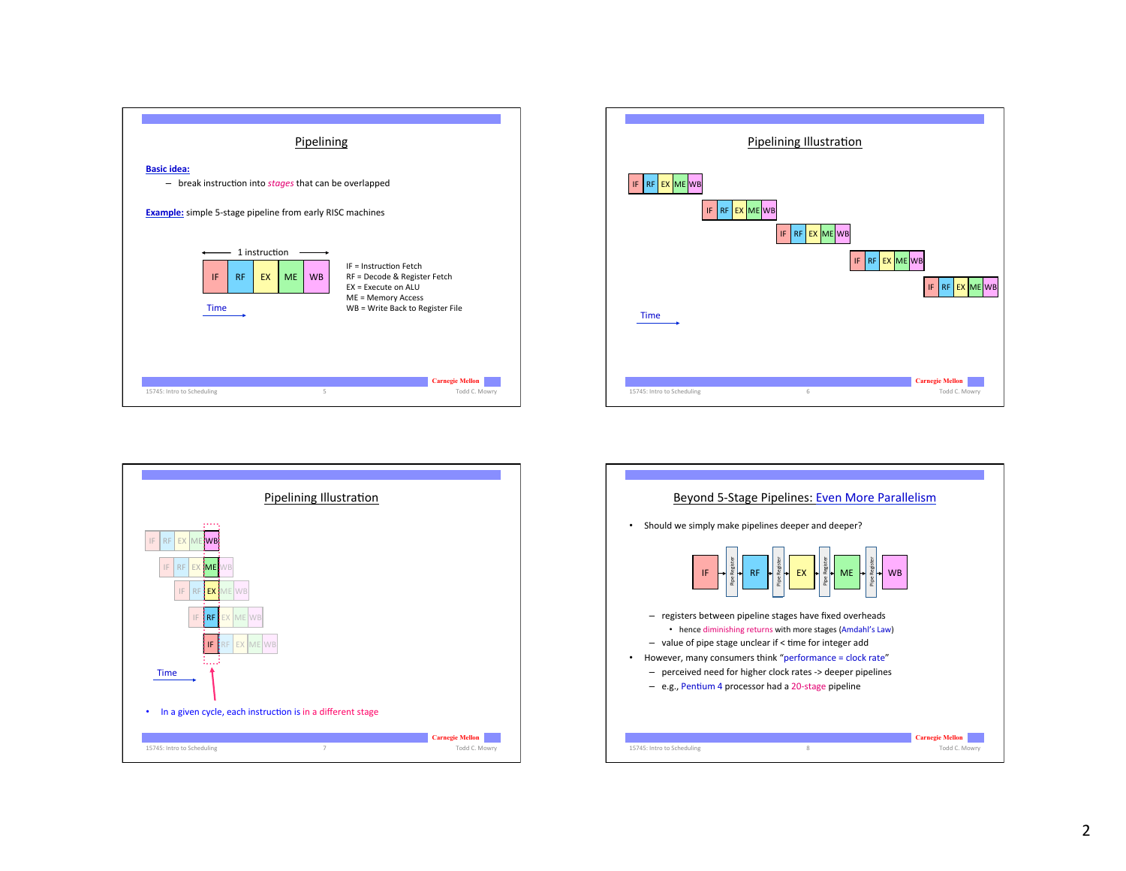





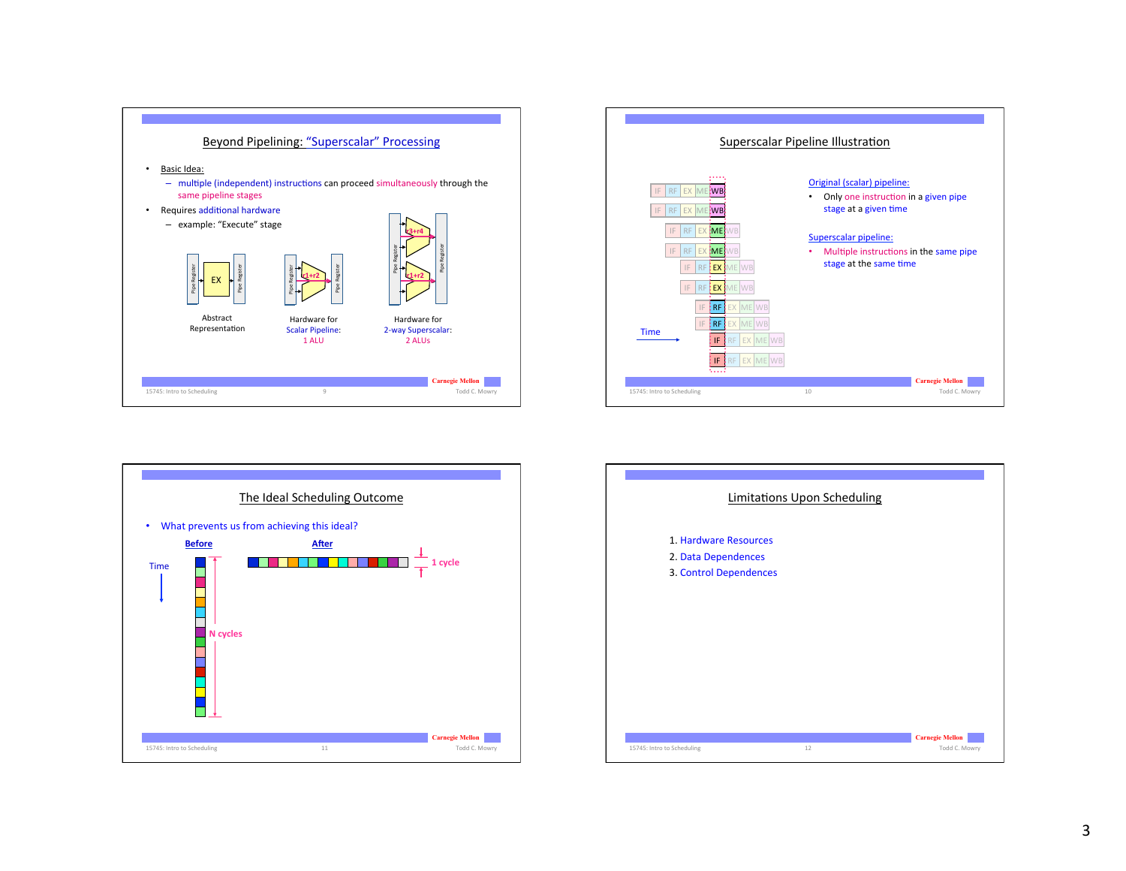





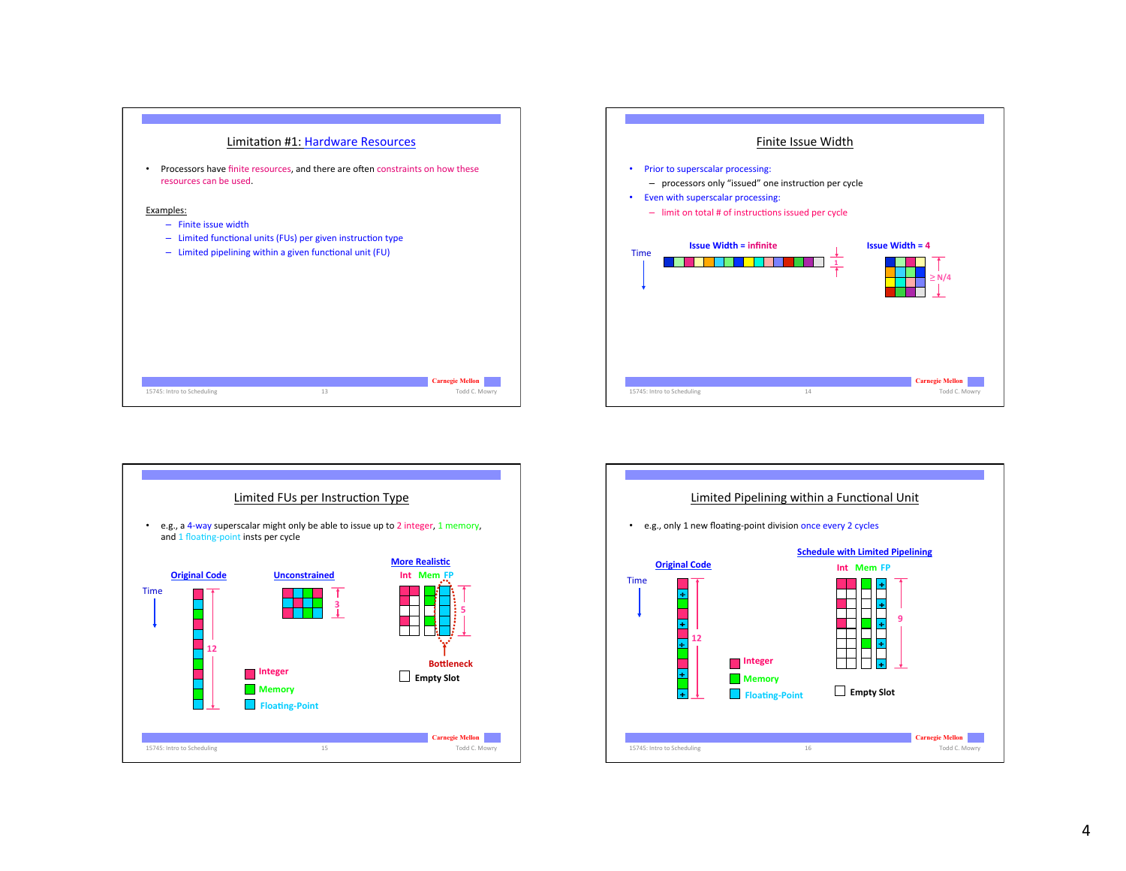





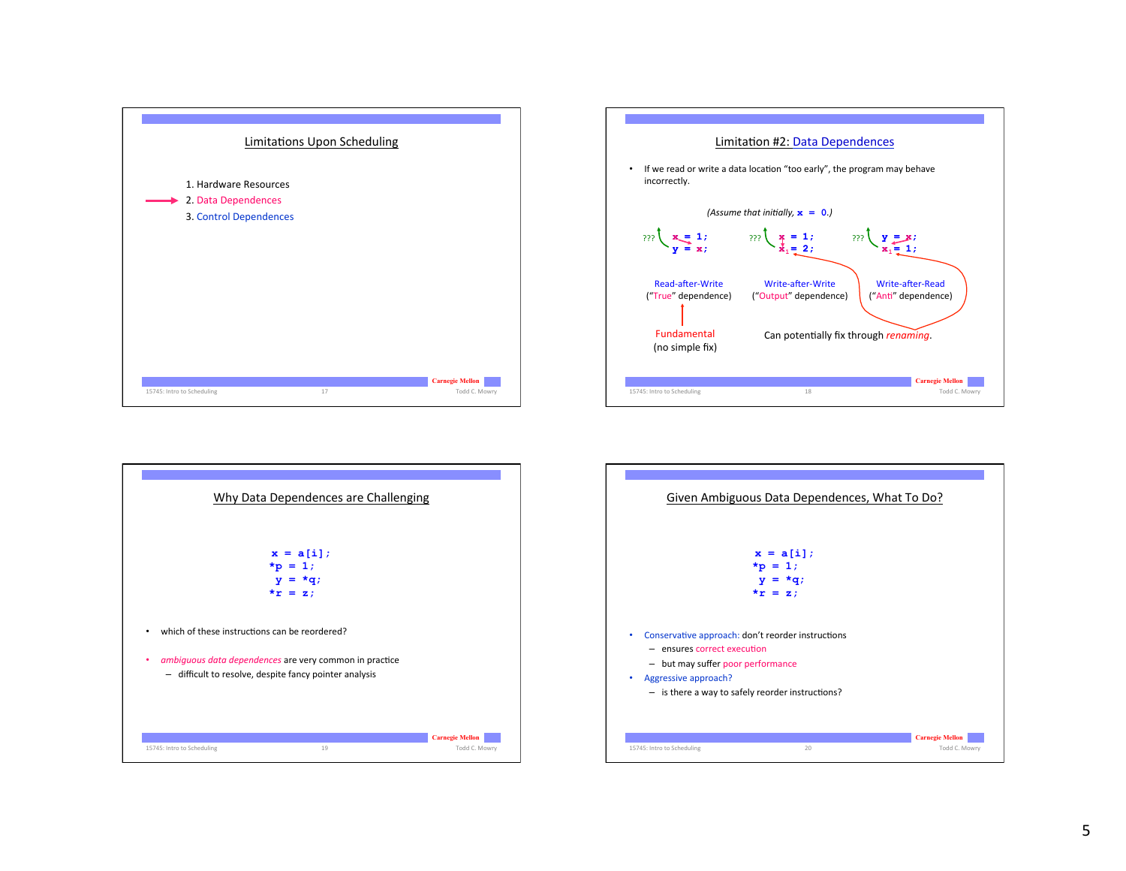





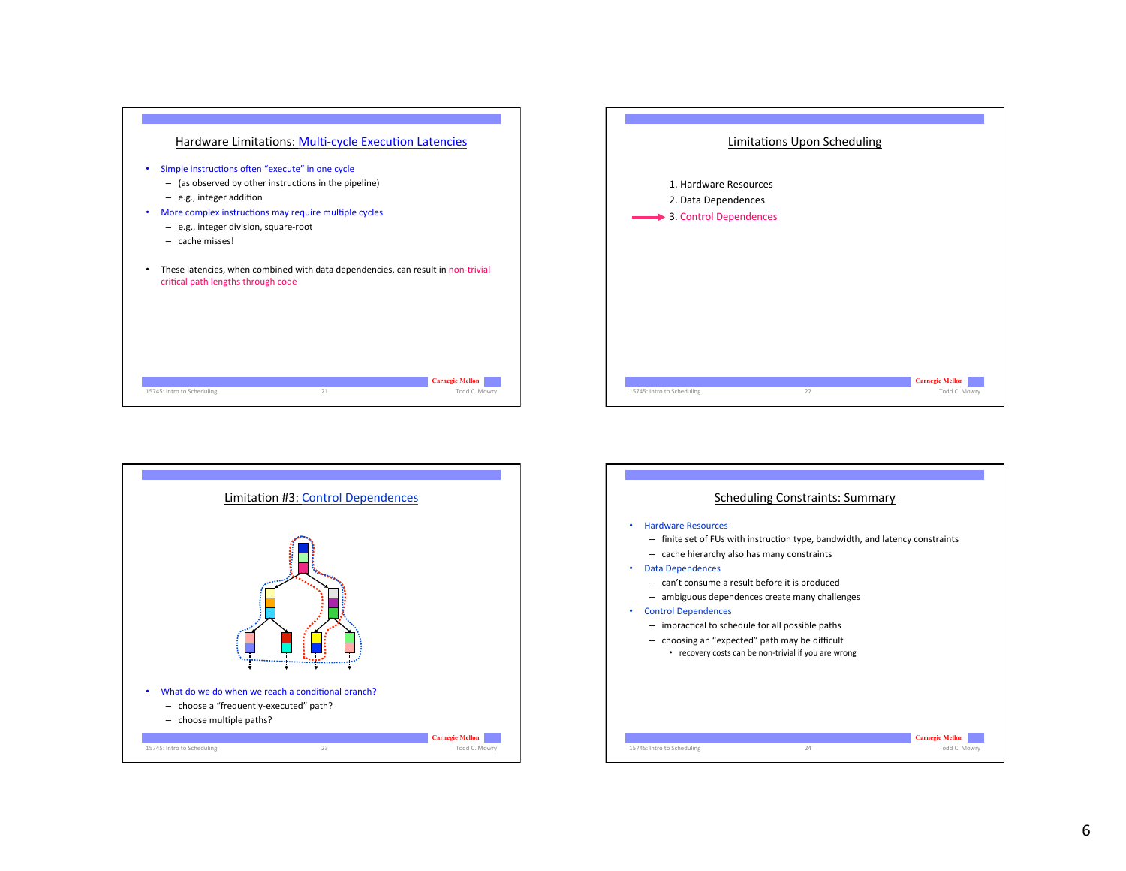





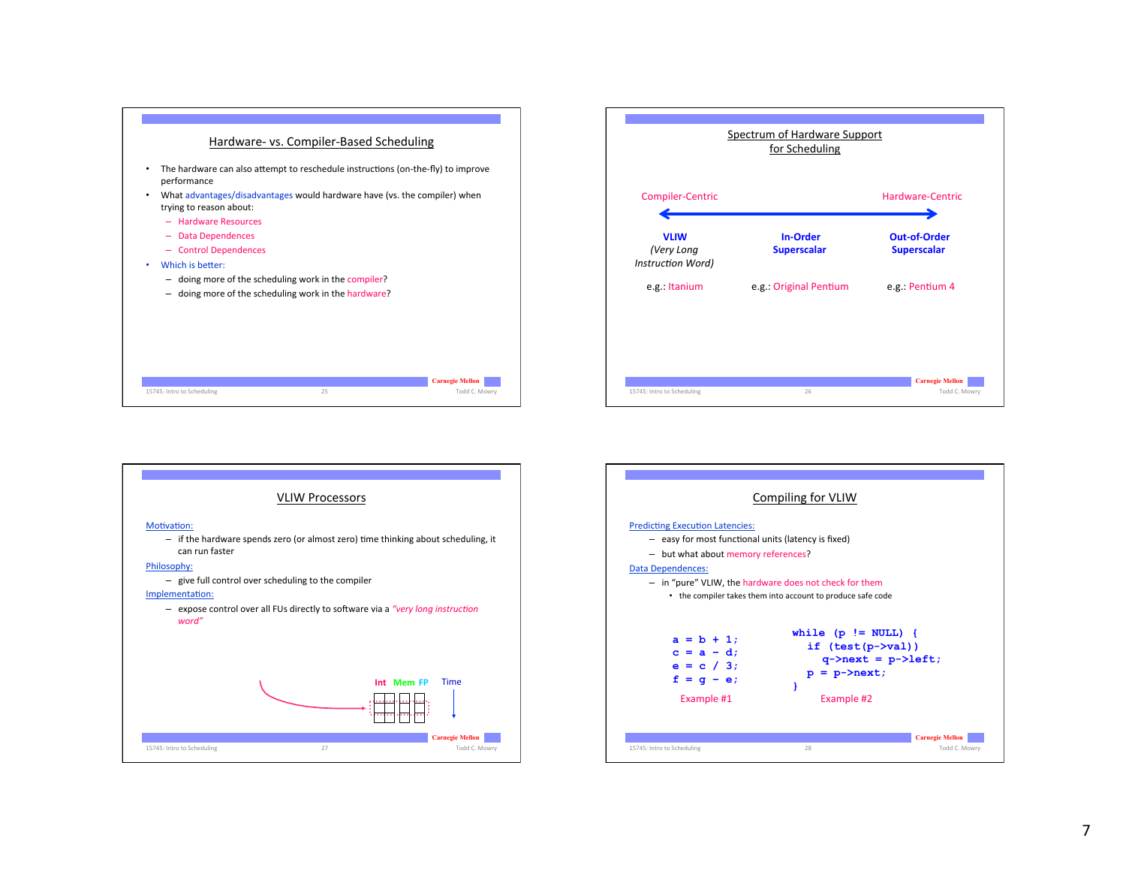





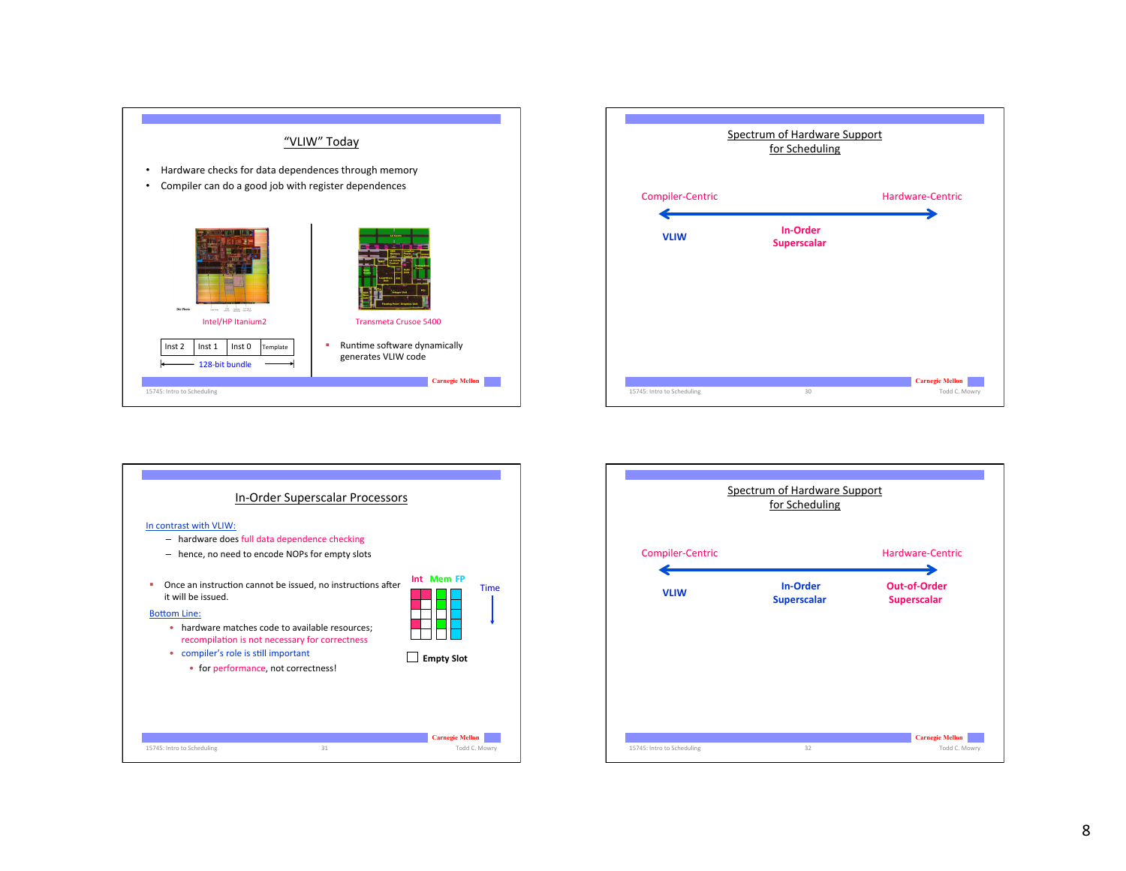